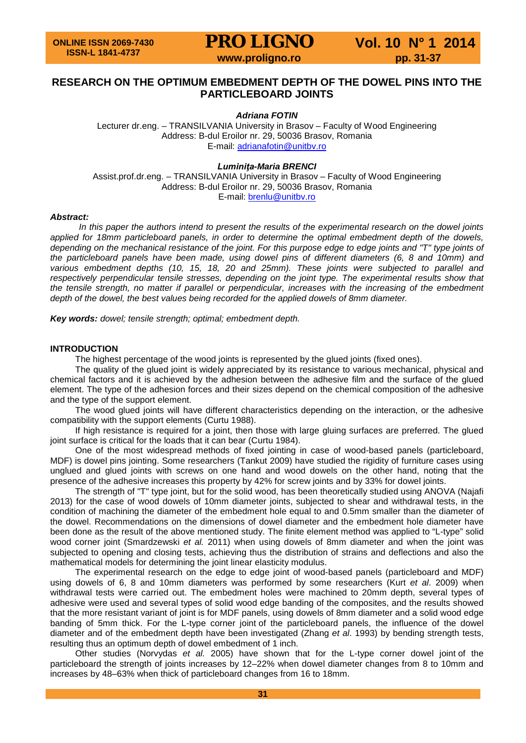# **RESEARCH ON THE OPTIMUM EMBEDMENT DEPTH OF THE DOWEL PINS INTO THE PARTICLEBOARD JOINTS**

# *Adriana FOTIN*

Lecturer dr.eng. – TRANSILVANIA University in Brasov – Faculty of Wood Engineering Address: B-dul Eroilor nr. 29, 50036 Brasov, Romania E-mail: [adrianafotin@unitbv.ro](mailto:adrianafotin@unitbv.ro)

*Luminiţa-Maria BRENCI*

Assist.prof.dr.eng. – TRANSILVANIA University in Brasov – Faculty of Wood Engineering Address: B-dul Eroilor nr. 29, 50036 Brasov, Romania E-mail: [brenlu@unitbv.ro](mailto:brenlu@unitbv.ro)

#### *Abstract:*

*In this paper the authors intend to present the results of the experimental research on the dowel joints*  applied for 18mm particleboard panels, in order to determine the optimal embedment depth of the dowels, depending on the mechanical resistance of the joint. For this purpose edge to edge joints and "T" type joints of *the particleboard panels have been made, using dowel pins of different diameters (6, 8 and 10mm) and various embedment depths (10, 15, 18, 20 and 25mm). These joints were subjected to parallel and*  respectively perpendicular tensile stresses, depending on the joint type. The experimental results show that the tensile strength, no matter if parallel or perpendicular, increases with the increasing of the embedment *depth of the dowel, the best values being recorded for the applied dowels of 8mm diameter.*

*Key words: dowel; tensile strength; optimal; embedment depth.*

#### **INTRODUCTION**

The highest percentage of the wood joints is represented by the glued joints (fixed ones).

The quality of the glued joint is widely appreciated by its resistance to various mechanical, physical and chemical factors and it is achieved by the adhesion between the adhesive film and the surface of the glued element. The type of the adhesion forces and their sizes depend on the chemical composition of the adhesive and the type of the support element.

The wood glued joints will have different characteristics depending on the interaction, or the adhesive compatibility with the support elements (Curtu 1988).

If high resistance is required for a joint, then those with large gluing surfaces are preferred. The glued joint surface is critical for the loads that it can bear (Curtu 1984).

One of the most widespread methods of fixed jointing in case of wood-based panels (particleboard, MDF) is dowel pins jointing. Some researchers (Tankut 2009) have studied the rigidity of furniture cases using unglued and glued joints with screws on one hand and wood dowels on the other hand, noting that the presence of the adhesive increases this property by 42% for screw joints and by 33% for dowel joints.

The strength of "T" type joint, but for the solid wood, has been theoretically studied using ANOVA (Najafi 2013) for the case of wood dowels of 10mm diameter joints, subjected to shear and withdrawal tests, in the condition of machining the diameter of the embedment hole equal to and 0.5mm smaller than the diameter of the dowel. Recommendations on the dimensions of dowel diameter and the embedment hole diameter have been done as the result of the above mentioned study. The finite element method was applied to "L-type" solid wood corner joint (Smardzewski *et al.* 2011) when using dowels of 8mm diameter and when the joint was subjected to opening and closing tests, achieving thus the distribution of strains and deflections and also the mathematical models for determining the joint linear elasticity modulus.

The experimental research on the edge to edge joint of wood-based panels (particleboard and MDF) using dowels of 6, 8 and 10mm diameters was performed by some researchers (Kurt *et al*. 2009) when withdrawal tests were carried out. The embedment holes were machined to 20mm depth, several types of adhesive were used and several types of solid wood edge banding of the composites, and the results showed that the more resistant variant of joint is for MDF panels, using dowels of 8mm diameter and a solid wood edge banding of 5mm thick. For the L-type corner joint of the particleboard panels, the influence of the dowel diameter and of the embedment depth have been investigated (Zhang *et al*. 1993) by bending strength tests, resulting thus an optimum depth of dowel embedment of 1 inch.

Other studies (Norvydas *et al.* 2005) have shown that for the L-type corner dowel joint of the particleboard the strength of joints increases by 12–22% when dowel diameter changes from 8 to 10mm and increases by 48–63% when thick of particleboard changes from 16 to 18mm.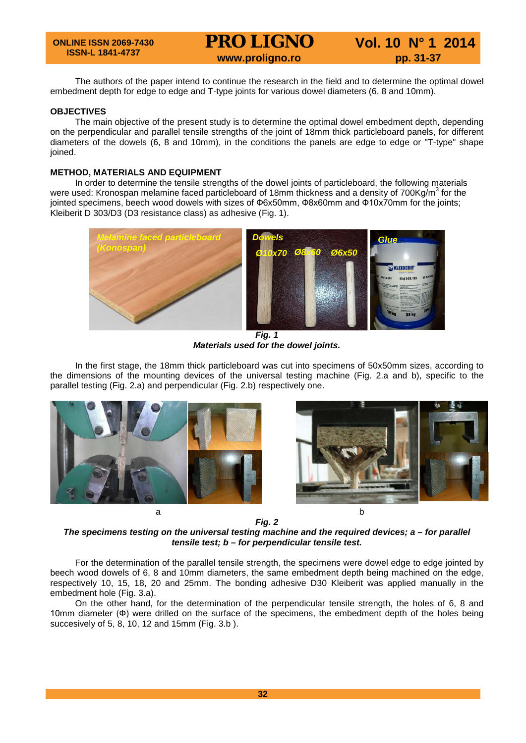| <b>ONLINE ISSN 2069-7430</b><br><b>ISSN-L 1841-4737</b> | <b>PRO LIGNO</b> | Vol. 10 N° 1 2014 |
|---------------------------------------------------------|------------------|-------------------|
|                                                         | www.proligno.ro  | pp. 31-37         |

The authors of the paper intend to continue the research in the field and to determine the optimal dowel embedment depth for edge to edge and T-type joints for various dowel diameters (6, 8 and 10mm).

# **OBJECTIVES**

The main objective of the present study is to determine the optimal dowel embedment depth, depending on the perpendicular and parallel tensile strengths of the joint of 18mm thick particleboard panels, for different diameters of the dowels (6, 8 and 10mm), in the conditions the panels are edge to edge or "T-type" shape ioined.

# **METHOD, MATERIALS AND EQUIPMENT**

In order to determine the tensile strengths of the dowel joints of particleboard, the following materials were used: Kronospan melamine faced particleboard of 18mm thickness and a density of 700Kg/m<sup>3</sup> for the jointed specimens, beech wood dowels with sizes of Ф6x50mm, Ф8x60mm and Ф10x70mm for the joints; Kleiberit D 303/D3 (D3 resistance class) as adhesive (Fig. 1).



*Materials used for the dowel joints.*

In the first stage, the 18mm thick particleboard was cut into specimens of 50x50mm sizes, according to the dimensions of the mounting devices of the universal testing machine (Fig. 2.a and b), specific to the parallel testing (Fig. 2.a) and perpendicular (Fig. 2.b) respectively one.





*Fig. 2*

*The specimens testing on the universal testing machine and the required devices; a – for parallel tensile test; b – for perpendicular tensile test.*

For the determination of the parallel tensile strength, the specimens were dowel edge to edge jointed by beech wood dowels of 6, 8 and 10mm diameters, the same embedment depth being machined on the edge, respectively 10, 15, 18, 20 and 25mm. The bonding adhesive D30 Kleiberit was applied manually in the embedment hole (Fig. 3.a).

On the other hand, for the determination of the perpendicular tensile strength, the holes of 6, 8 and 10mm diameter (Ф) were drilled on the surface of the specimens, the embedment depth of the holes being succesively of 5, 8, 10, 12 and 15mm (Fig. 3.b ).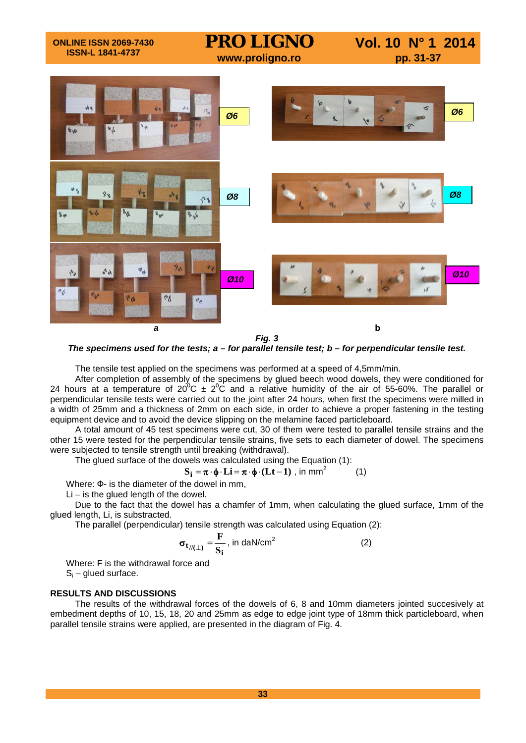

*The specimens used for the tests; a – for parallel tensile test; b – for perpendicular tensile test.*

The tensile test applied on the specimens was performed at a speed of 4,5mm/min.

After completion of assembly of the specimens by glued beech wood dowels, they were conditioned for 24 hours at a temperature of 20<sup>0</sup>C  $\pm 2^0$ C and a relative humidity of the air of 55-60%. The parallel or perpendicular tensile tests were carried out to the joint after 24 hours, when first the specimens were milled in a width of 25mm and a thickness of 2mm on each side, in order to achieve a proper fastening in the testing equipment device and to avoid the device slipping on the melamine faced particleboard.

A total amount of 45 test specimens were cut, 30 of them were tested to parallel tensile strains and the other 15 were tested for the perpendicular tensile strains, five sets to each diameter of dowel. The specimens were subjected to tensile strength until breaking (withdrawal).

The glued surface of the dowels was calculated using the Equation (1):

$$
S_{i} = \pi \cdot \phi \cdot Li = \pi \cdot \phi \cdot (Lt - 1) , \text{ in mm}^{2} \tag{1}
$$

Where: Ф- is the diameter of the dowel in mm,

Li – is the glued length of the dowel.

Due to the fact that the dowel has a chamfer of 1mm, when calculating the glued surface, 1mm of the glued length, Li, is substracted.

The parallel (perpendicular) tensile strength was calculated using Equation (2):

$$
\sigma_{t_{//(\perp)}} = \frac{\mathbf{F}}{\mathbf{S_i}}, \text{ in } \text{daN/cm}^2 \tag{2}
$$

Where: F is the withdrawal force and  $S_i$  – glued surface.

# **RESULTS AND DISCUSSIONS**

The results of the withdrawal forces of the dowels of 6, 8 and 10mm diameters jointed succesively at embedment depths of 10, 15, 18, 20 and 25mm as edge to edge joint type of 18mm thick particleboard, when parallel tensile strains were applied, are presented in the diagram of Fig. 4.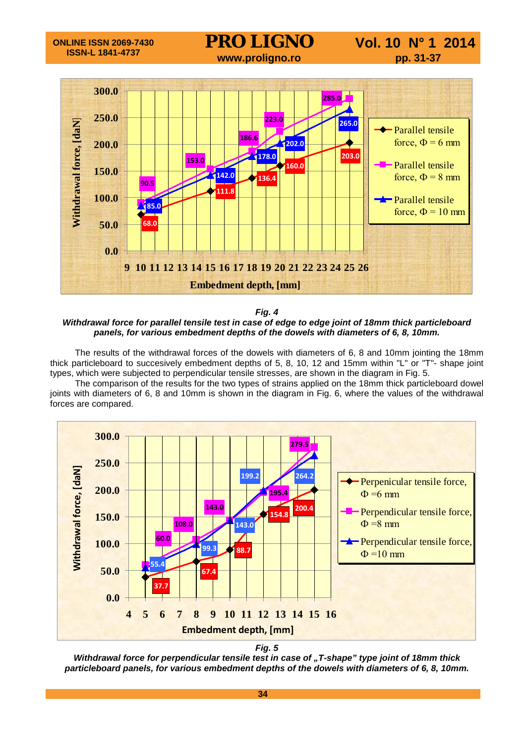

*Fig. 4*

*Withdrawal force for parallel tensile test in case of edge to edge joint of 18mm thick particleboard panels, for various embedment depths of the dowels with diameters of 6, 8, 10mm.*

The results of the withdrawal forces of the dowels with diameters of 6, 8 and 10mm jointing the 18mm thick particleboard to succesively embedment depths of 5, 8, 10, 12 and 15mm within "L" or "T"- shape joint types, which were subjected to perpendicular tensile stresses, are shown in the diagram in Fig. 5.

The comparison of the results for the two types of strains applied on the 18mm thick particleboard dowel joints with diameters of 6, 8 and 10mm is shown in the diagram in Fig. 6, where the values of the withdrawal forces are compared.



*Fig. 5*

*Withdrawal force for perpendicular tensile test in case of "T-shape" type joint of 18mm thick particleboard panels, for various embedment depths of the dowels with diameters of 6, 8, 10mm.*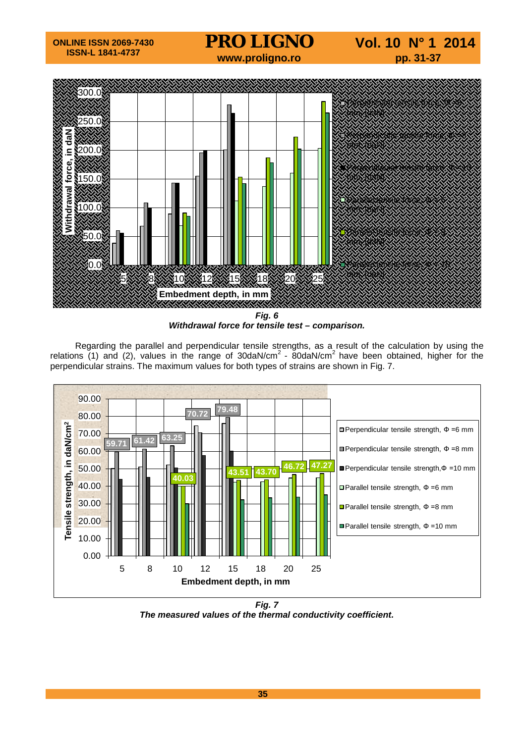

*Fig. 6 Withdrawal force for tensile test – comparison.*

Regarding the parallel and perpendicular tensile strengths, as a result of the calculation by using the relations (1) and (2), values in the range of 30daN/cm<sup>2</sup> - 80daN/cm<sup>2</sup> have been obtained, higher for the perpendicular strains. The maximum values for both types of strains are shown in Fig. 7.



*Fig. 7 The measured values of the thermal conductivity coefficient.*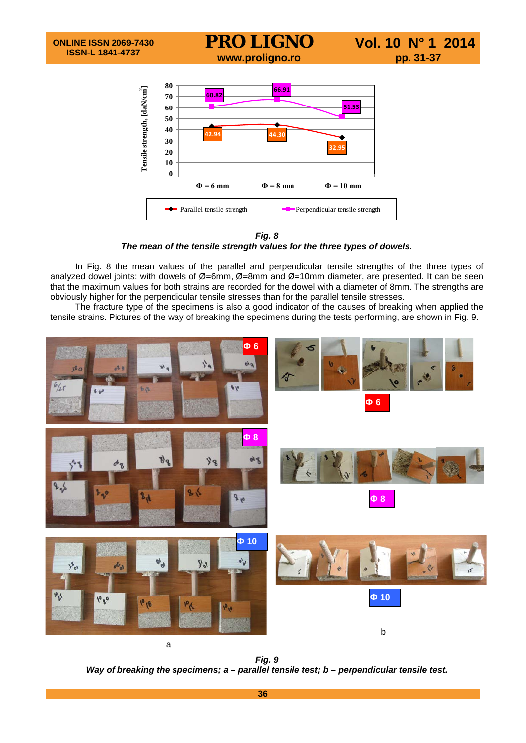

*Fig. 8 The mean of the tensile strength values for the three types of dowels.*

In Fig. 8 the mean values of the parallel and perpendicular tensile strengths of the three types of analyzed dowel joints: with dowels of Ø=6mm, Ø=8mm and Ø=10mm diameter, are presented. It can be seen that the maximum values for both strains are recorded for the dowel with a diameter of 8mm. The strengths are obviously higher for the perpendicular tensile stresses than for the parallel tensile stresses.

The fracture type of the specimens is also a good indicator of the causes of breaking when applied the tensile strains. Pictures of the way of breaking the specimens during the tests performing, are shown in Fig. 9.



*Way of breaking the specimens; a – parallel tensile test; b – perpendicular tensile test.*